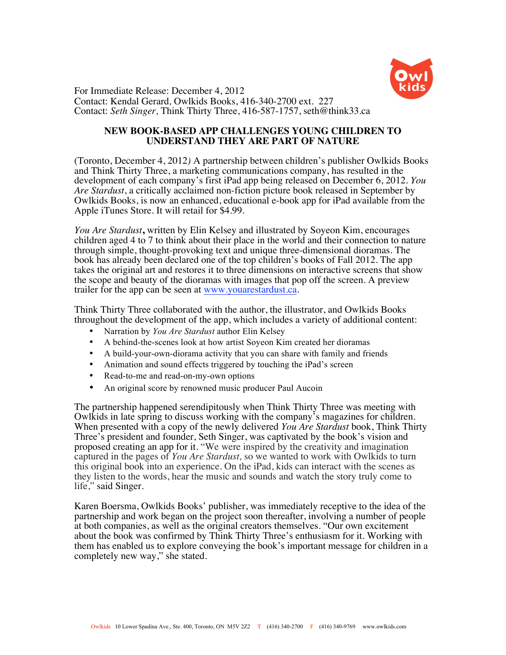

For Immediate Release: December 4, 2012 Contact: Kendal Gerard*,* Owlkids Books, 416-340-2700 ext. 227 Contact: *Seth Singer,* Think Thirty Three, 416-587-1757, seth@think33.ca

## **NEW BOOK-BASED APP CHALLENGES YOUNG CHILDREN TO UNDERSTAND THEY ARE PART OF NATURE**

(Toronto, December 4, 2012*)* A partnership between children's publisher Owlkids Books and Think Thirty Three, a marketing communications company, has resulted in the development of each company's first iPad app being released on December 6, 2012. *You Are Stardust*, a critically acclaimed non-fiction picture book released in September by Owlkids Books, is now an enhanced, educational e-book app for iPad available from the Apple iTunes Store. It will retail for \$4.99.

*You Are Stardust***,** written by Elin Kelsey and illustrated by Soyeon Kim, encourages children aged 4 to 7 to think about their place in the world and their connection to nature through simple, thought-provoking text and unique three-dimensional dioramas. The book has already been declared one of the top children's books of Fall 2012. The app takes the original art and restores it to three dimensions on interactive screens that show the scope and beauty of the dioramas with images that pop off the screen. A preview trailer for the app can be seen at www.youarestardust.ca.

Think Thirty Three collaborated with the author, the illustrator, and Owlkids Books throughout the development of the app, which includes a variety of additional content:

- Narration by *You Are Stardust* author Elin Kelsey
- A behind-the-scenes look at how artist Soyeon Kim created her dioramas
- A build-your-own-diorama activity that you can share with family and friends
- Animation and sound effects triggered by touching the iPad's screen
- Read-to-me and read-on-my-own options
- An original score by renowned music producer Paul Aucoin

The partnership happened serendipitously when Think Thirty Three was meeting with Owlkids in late spring to discuss working with the company's magazines for children. When presented with a copy of the newly delivered *You Are Stardust* book, Think Thirty Three's president and founder, Seth Singer, was captivated by the book's vision and proposed creating an app for it. "We were inspired by the creativity and imagination captured in the pages of *You Are Stardust,* so we wanted to work with Owlkids to turn this original book into an experience. On the iPad, kids can interact with the scenes as they listen to the words, hear the music and sounds and watch the story truly come to life," said Singer.

Karen Boersma, Owlkids Books' publisher, was immediately receptive to the idea of the partnership and work began on the project soon thereafter, involving a number of people at both companies, as well as the original creators themselves. "Our own excitement about the book was confirmed by Think Thirty Three's enthusiasm for it. Working with them has enabled us to explore conveying the book's important message for children in a completely new way," she stated.